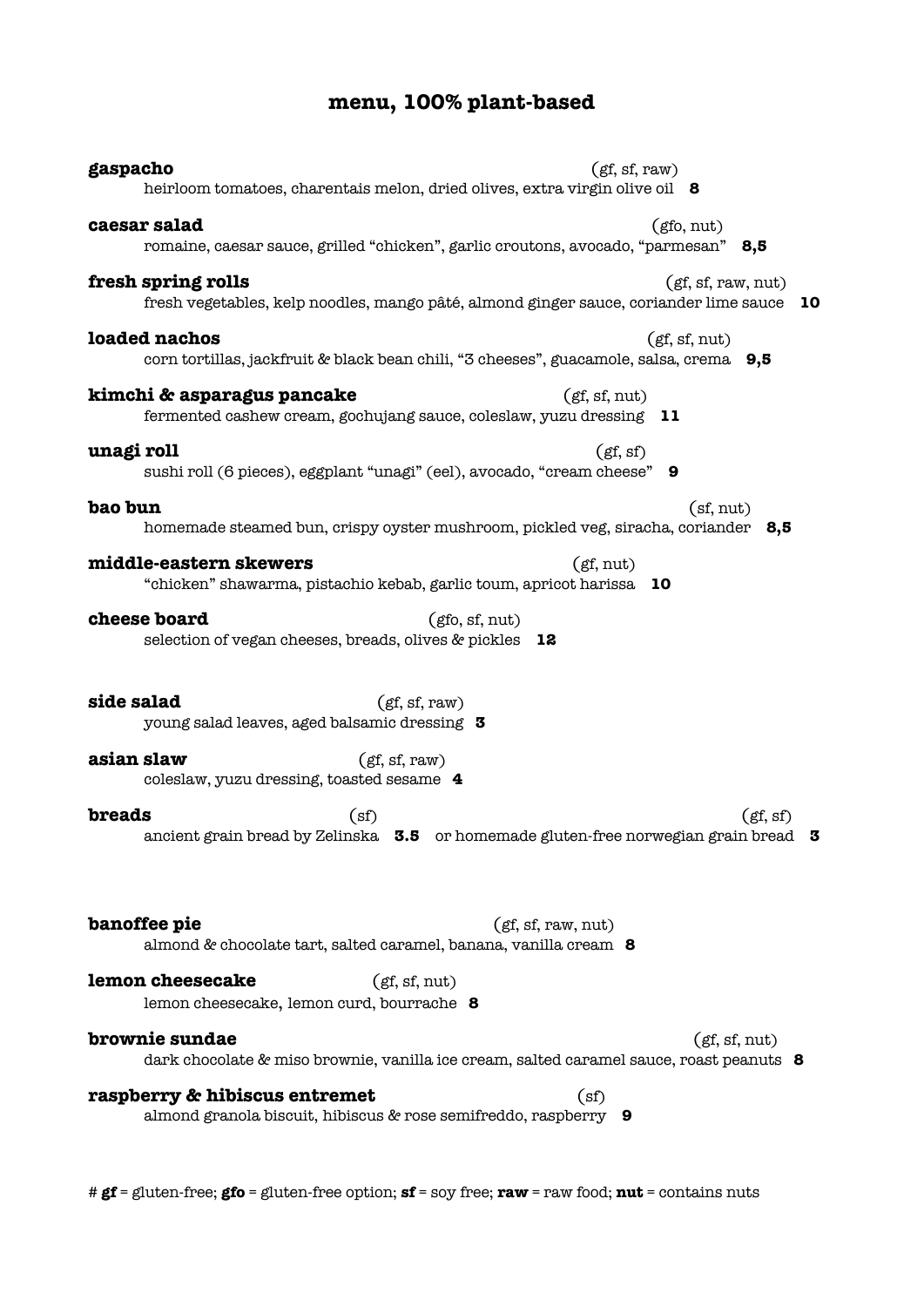## **menu, 100% plant-based**

| gaspacho<br>(gf, sf, raw)<br>heirloom tomatoes, charentais melon, dried olives, extra virgin olive oil 8                                       |
|------------------------------------------------------------------------------------------------------------------------------------------------|
| caesar salad<br>(gfo, nut)<br>romaine, caesar sauce, grilled "chicken", garlic croutons, avocado, "parmesan"<br>8,5                            |
| fresh spring rolls<br>(gf, sf, raw, nut)<br>fresh vegetables, kelp noodles, mango pâté, almond ginger sauce, coriander lime sauce<br><b>10</b> |
| loaded nachos<br>(gf, sf, nut)<br>corn tortillas, jackfruit & black bean chili, "3 cheeses", guacamole, salsa, crema 9,5                       |
| kimchi & asparagus pancake<br>(gf, sf, nut)<br>fermented cashew cream, gochujang sauce, coleslaw, yuzu dressing 11                             |
| unagi roll<br>(gf, sf)<br>sushi roll (6 pieces), eggplant "unagi" (eel), avocado, "cream cheese" 9                                             |
| bao bun<br>(sf, nut)<br>homemade steamed bun, crispy oyster mushroom, pickled veg, siracha, coriander 8,5                                      |
| middle-eastern skewers<br>(gf, nut)<br>"chicken" shawarma, pistachio kebab, garlic toum, apricot harissa 10                                    |
| cheese board<br>(gfo, sf, nut)<br>selection of vegan cheeses, breads, olives & pickles<br>12                                                   |
| side salad<br>(gf, sf, raw)<br>young salad leaves, aged balsamic dressing 3                                                                    |
| asian slaw<br>(gf, sf, raw)<br>coleslaw, yuzu dressing, toasted sesame 4                                                                       |
| <b>breads</b><br>(sf)<br>(gf, sf)<br>ancient grain bread by Zelinska 3.5 or homemade gluten-free norwegian grain bread 3                       |
| banoffee pie<br>(gf, sf, raw, nut)<br>almond & chocolate tart, salted caramel, banana, vanilla cream 8                                         |
| lemon cheesecake<br>(gf, sf, nut)<br>lemon cheesecake, lemon curd, bourrache 8                                                                 |
| brownie sundae<br>(gf, sf, nut)<br>dark chocolate & miso brownie, vanilla ice cream, salted caramel sauce, roast peanuts 8                     |
| raspberry & hibiscus entremet<br>(sf)<br>almond granola biscuit, hibiscus & rose semifreddo, raspberry 9                                       |